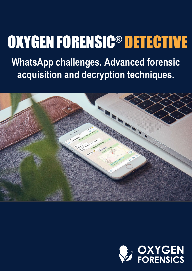# OXYGEN FORENSIC® DETECTIVE

**WhatsApp challenges. Advanced forensic acquisition and decryption techniques.**



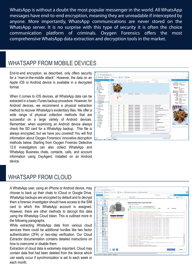WhatsApp is without a doubt the most popular messenger in the world. All WhatsApp messages have end-to-end encryption, meaning they are unreadable if intercepted by anyone. More importantly, WhatsApp communications are never stored on the WhatsApp server. It is no surprise with this type of security it is often the choice communication platform of criminals. Oxygen Forensics offers the most comprehensive WhatsApp data extraction and decryption tools in the market.

#### WHATSAPP FROM MOBILE DEVICES

End-to-end encryption, as described, only offers security for a "man-in-the-middle attack". However, the data on an Apple iOS or Android device is available in a decrypted format.

When it comes to iOS devices, all WhatsApp data can be extracted in a basic iTunes backup procedure. However, for Android devices, we recommend a physical extraction method to recover WhatsApp's evidentiary files. We offer a wide range of physical collection methods that are successful on a large variety of Android devices. Remember, when examining an Android device always check the SD card for a WhatsApp backup. This file is always encrypted, but we have you covered! You will find information about Oxygen Forensics' innovative decryption methods below. Starting from Oxygen Forensic Detective 12.6 investigators can also collect WhatsApp and WhatsApp Business chats, contacts, calls, and account information using OxyAgent, installed on an Android device.



#### WHATSAPP FROM CLOUD

A WhatsApp user, using an iPhone or Android device, may choose to back up their chats to iCloud or Google Drive. WhatsApp backups are encrypted by default and to decrypt them a forensic investigator should have access to the SIM card to which this WhatsApp account is assigned. However, there are other methods to decrypt this data using the WhatsApp Cloud token. This is outlined more in the following paragraphs.

While extracting WhatsApp data from various cloud services there could be additional hurdles like two factor authentication (2FA) or two-step verification. Our Cloud Extractor documentation contains detailed instructions on how to overcome or disable them.

Extraction of cloud data is extremely important. Cloud may contain data that had been deleted from the device which can easily occur if synchronization is set to each week or each month.

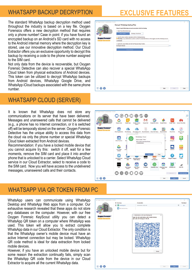#### WHATSAPP BACKUP DECRYPTION

## **EXCLUSIVE FEATURES**

The standard WhatsApp backup decryption method used throughout the industry is based on a key file. Oxygen Forensics offers a new decryption method that requires only a phone number! Case in point: if you have found an encrypted backup on an Android's SD card with no access to the Android internal memory where the decryption key is stored, use our innovative decryption method. Our Cloud Extractor offers you an exclusive opportunity to decrypt this backup by receiving a code to the phone number assigned to the SIM card.

Not only data from the device is recoverable, but Oxygen Forensic Detective can also recover a special WhatsApp Cloud token from physical extractions of Android devices. This token can be utilized to decrypt WhatsApp backups from Android devices, WhatsApp Google Drive, and WhatsApp iCloud backups associated with the same phone number.

### WHATSAPP CLOUD (SERVER)

It is known that WhatsApp does not store any communications on its server that have been delivered. Messages and unanswered calls that cannot be delivered (e.g., a phone has no Internet connection, or it is switched off) will be temporally stored on the server. Oxygen Forensic Detective has the unique ability to access this data from the cloud via only the phone number or special WhatsApp Cloud token extracted from Android devices.

Recommendation: if you have a locked mobile device that you cannot acquire try this: switch it off, wait for a few moments, remove the SIM card and place it into another phone that is unlocked to a carrier. Select WhatsApp Cloud service in our Cloud Extractor, select to receive a code to the SIM card. Now you will have access to the undelivered messages, unanswered calls and their contacts.

|                                    | Phone number                                                                                                                                                                     | whatsapp cloud token |  |  |   |  |
|------------------------------------|----------------------------------------------------------------------------------------------------------------------------------------------------------------------------------|----------------------|--|--|---|--|
| <b>Oxygen Forensic<sup>®</sup></b> | 2. Type the phone number associated with the WhatsApp backup.<br>Warning: if you autherticate via phone number the associated device will be logged out of the WhatsApp account. |                      |  |  |   |  |
| <b>Cloud Extractor</b>             | +199292288                                                                                                                                                                       |                      |  |  |   |  |
|                                    | 3. Specify the output folder and click the "Decrypt badoup" button.                                                                                                              |                      |  |  |   |  |
|                                    | D:\Oxygen badwps                                                                                                                                                                 |                      |  |  | Þ |  |
|                                    | Docrypt backup                                                                                                                                                                   |                      |  |  |   |  |
|                                    |                                                                                                                                                                                  |                      |  |  |   |  |
|                                    |                                                                                                                                                                                  |                      |  |  |   |  |
|                                    |                                                                                                                                                                                  |                      |  |  |   |  |
|                                    |                                                                                                                                                                                  |                      |  |  |   |  |
|                                    |                                                                                                                                                                                  |                      |  |  |   |  |
|                                    |                                                                                                                                                                                  |                      |  |  |   |  |
|                                    |                                                                                                                                                                                  |                      |  |  |   |  |
|                                    |                                                                                                                                                                                  |                      |  |  |   |  |
|                                    |                                                                                                                                                                                  |                      |  |  |   |  |
|                                    |                                                                                                                                                                                  |                      |  |  |   |  |
|                                    |                                                                                                                                                                                  |                      |  |  |   |  |
|                                    |                                                                                                                                                                                  |                      |  |  |   |  |
|                                    |                                                                                                                                                                                  |                      |  |  |   |  |
|                                    |                                                                                                                                                                                  |                      |  |  |   |  |
|                                    |                                                                                                                                                                                  |                      |  |  |   |  |
|                                    |                                                                                                                                                                                  |                      |  |  |   |  |



#### WHATSAPP VIA QR TOKEN FROM PC

WhatsApp users can communicate using WhatsApp Desktop and WhatsApp Web apps from a computer. Our exhaustive research revealed that these apps do not store any databases on the computer. However, with our free Oxygen Forensic KeyScout utility you can detect a WhatsApp QR token on a computer where WhatsApp was used. This token will allow you to extract complete WhatsApp data in our Cloud Extractor. The only condition is that the WhatsApp owner's mobile device must have an active Internet connection but may be locked. WhatsApp QR code method is ideal for data extraction from locked mobile devices.

However, if you have an unlocked mobile device but for some reason the extraction continually fails, simply scan the WhatsApp QR code from the device in our Cloud Extractor to acquire all the current WhatsApp data.